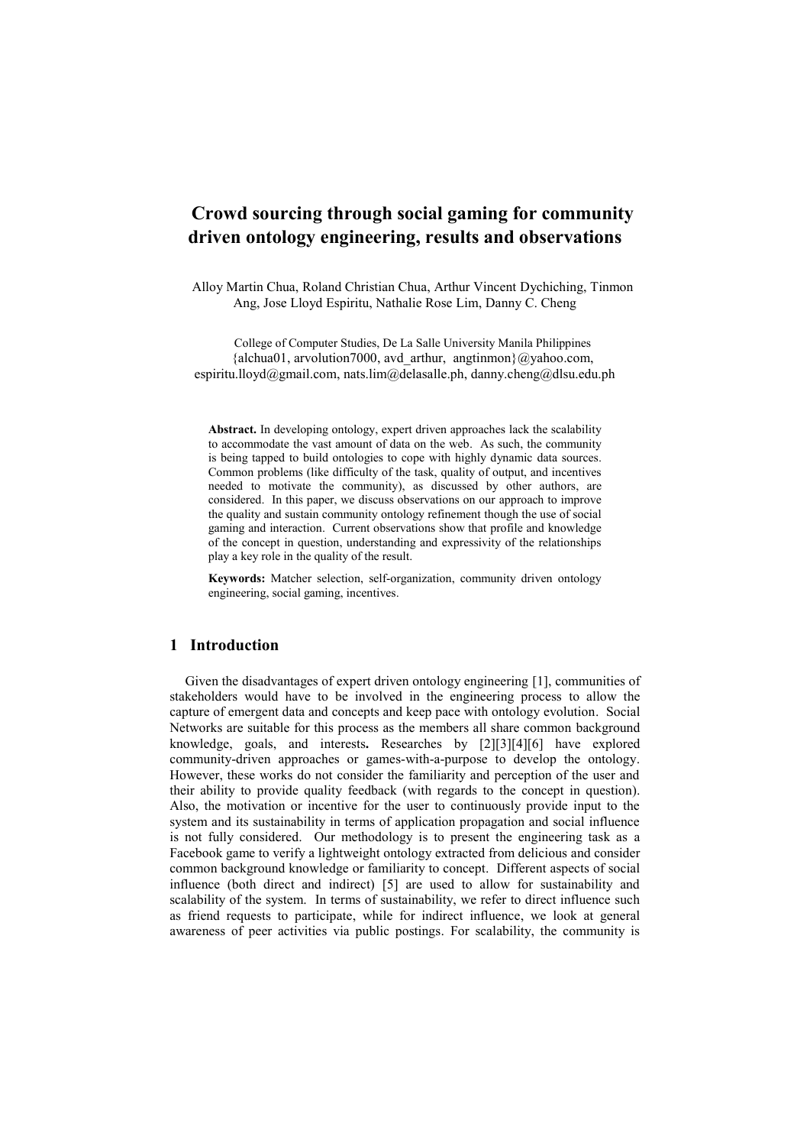## **Crowd sourcing through social gaming for community driven ontology engineering, results and observations**

Alloy Martin Chua, Roland Christian Chua, Arthur Vincent Dychiching, Tinmon Ang, Jose Lloyd Espiritu, Nathalie Rose Lim, Danny C. Cheng

College of Computer Studies, De La Salle University Manila Philippines  ${alchua01}$ , arvolution7000, avd arthur, angtinmon ${@yahoo.com}$ , espiritu.lloyd@gmail.com, nats.lim@delasalle.ph, danny.cheng@dlsu.edu.ph

**Abstract.** In developing ontology, expert driven approaches lack the scalability to accommodate the vast amount of data on the web. As such, the community is being tapped to build ontologies to cope with highly dynamic data sources. Common problems (like difficulty of the task, quality of output, and incentives needed to motivate the community), as discussed by other authors, are considered. In this paper, we discuss observations on our approach to improve the quality and sustain community ontology refinement though the use of social gaming and interaction. Current observations show that profile and knowledge of the concept in question, understanding and expressivity of the relationships play a key role in the quality of the result.

**Keywords:** Matcher selection, self-organization, community driven ontology engineering, social gaming, incentives.

## **1 Introduction**

Given the disadvantages of expert driven ontology engineering [1], communities of stakeholders would have to be involved in the engineering process to allow the capture of emergent data and concepts and keep pace with ontology evolution. Social Networks are suitable for this process as the members all share common background knowledge, goals, and interests**.** Researches by [2][3][4][6] have explored community-driven approaches or games-with-a-purpose to develop the ontology. However, these works do not consider the familiarity and perception of the user and their ability to provide quality feedback (with regards to the concept in question). Also, the motivation or incentive for the user to continuously provide input to the system and its sustainability in terms of application propagation and social influence is not fully considered. Our methodology is to present the engineering task as a Facebook game to verify a lightweight ontology extracted from delicious and consider common background knowledge or familiarity to concept. Different aspects of social influence (both direct and indirect) [5] are used to allow for sustainability and scalability of the system. In terms of sustainability, we refer to direct influence such as friend requests to participate, while for indirect influence, we look at general awareness of peer activities via public postings. For scalability, the community is